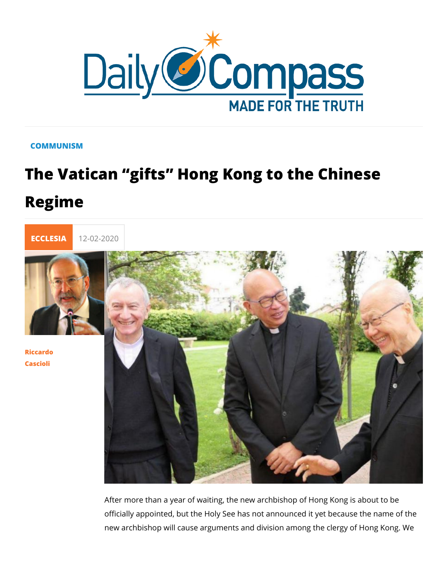## COMMUNISM

## The Vatican gifts Hong Kong to the C Regime



[Riccar](/en/riccardo-cascioli)do [Casci](/en/riccardo-cascioli)oli

> After more than a year of waiting, the new archbishop of Hong officially appointed, but the Holy See has not announced it yet new archbishop will cause arguments and division among the c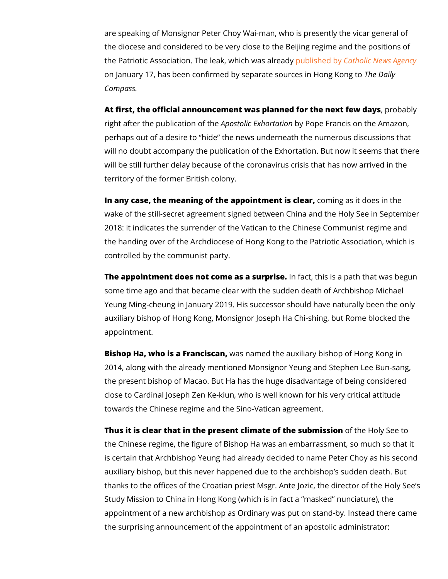are speaking of Monsignor Peter Choy Wai-man, who is presen the diocese and considered to be very close to the Beijing reg the Patriotic Association. The leak published by a bries advews Agency Library and the District Order on January 17, has been confirmed by separate TshoeunDcænslyin Hor Compass.

At first, the official announcement was planned for, to the base battly fe right after the publicaAtpion  $\mathsf{sub}$  the  $\mathsf{B}$ xhobnyta Proper Francis on the Amazon,  $\mathsf{B}$ perhaps out of a desire to hide the news underneath the num will no doubt accompany the publication of the Exhortation. But will be still further delay because of the coronavirus crisis that territory of the former British colony.

In any case, the meaning of the appointomo emings as let a does in th wake of the still-secret agreement signed between China and t 2018: it indicates the surrender of the Vatican to the Chinese the handing over of the Archdiocese of Hong Kong to the Patri controlled by the communist party.

The appointment does not come as hafautprinsies. is a path that was some time ago and that became clear with the sudden death of Yeung Ming-cheung in January 2019. His successor should hav auxiliary bishop of Hong Kong, Monsignor Joseph Ha Chi-shing appointment.

Bishop Ha, who is a Frawnacsisncaanned the auxiliary bishop of Hong 2014, along with the already mentioned Monsignor Yeung and S the present bishop of Macao. But Ha has the huge disadvantag close to Cardinal Joseph Zen Ke-kiun, who is well known for h towards the Chinese regime and the Sino-Vatican agreement.

Thus it is clear that in the present climate oof the est b hy is Ssee onto the Chinese regime, the figure of Bishop Ha was an embarrass is certain that Archbishop Yeung had already decided to name auxiliary bishop, but this never happened due to the archbisho thanks to the offices of the Croatian priest Msgr. Ante Jozic, t Study Mission to China in Hong Kong (which is in fact a mask appointment of a new archbishop as Ordinary was put on stand the surprising announcement of the appointment of an apostoli